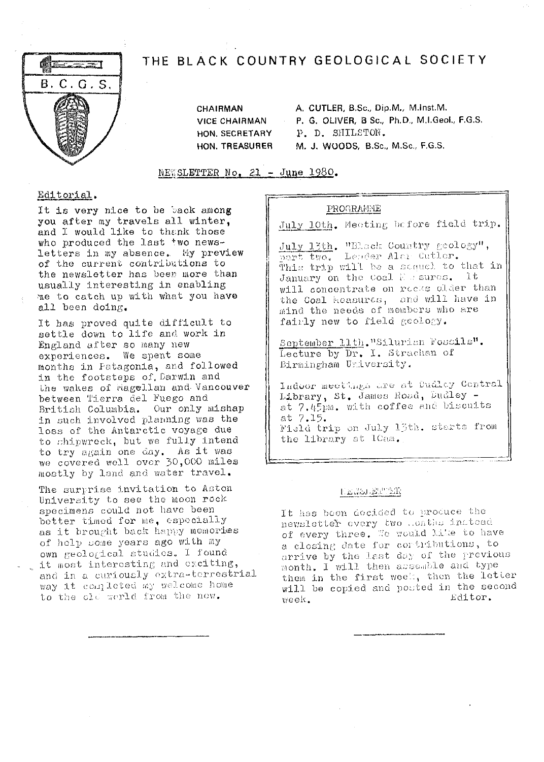# THE BLACK COUNTRY GEOLOGICAL SOCIETY



**CHAIRMAN VICE CHAIRMAN** HON, SECRETARY HON. TREASURER A. CUTLER, B.Sc., Dip.M., M.Inst.M. P. G. OLIVER, B Sc., Ph.D., M.I.Geol., F.G.S. P. D. SHILSTON. M. J. WOODS, B.Sc., M.Sc., F.G.S.

NEWSLETTER No. 21 - June 1980.

# Editorial.

It is very nice to be back among you after my travels all winter, and I would like to thank those who produced the last two newsletters in my absence. My preview of the current contributions to the newsletter has been more than usually interesting in enabling me to catch up with what you have all been doing.

It has proved quite difficult to settle down to life and work in England after so many new experiences. We spent some months in Patagonia, and followed in the footsteps of Darwin and the wakes of riagellan and Vancouver between Tierra del Fuego and British Columbia. Our only mishap in such involved planning was the loss of the Antarctic voyage due to shipwreck, but we fully intend to try again one day. As it was<br>we covered well over 30,000 miles mostly by land and water travel.

The surprise invitation to Aston University to see the moon rock specimens could not have been better timed for me, especially as it brought back happy memories of help some years ago with my own geological studies. I found it most interesting and exciting, and in a curiously extra-terrestrial way it completed my welcome home to the old world from the now.

#### PROGRAMME

July 10th. Meeting before field trip.

July 13th. "Black Country geology", part two. Leader Alar Cutler. This trip will be a scauel to that in January on the Coal Essures. It will concentrate on recks older than the Coal heasures, and will have in<br>mind the needs of members who are fairly new to field geology.

September 11th. "Silurian Foscils". Lecture by Dr. I. Strachan of Birmingham University.

Indoor meettings are at Dudley Central Library, St. James Road, Dudley at 7.45pm. with coffee and biscults at 7.15. Field trip on July 13th. starts from the library at ICam.

# 日本立法理学出版

It has been decided to produce the newsletter every two months instead of every three. We would like to have a closing date for contributions, to arrive by the last day of the previous month. I will then assemble and type them in the first week, then the letter will be copied and posted in the second Editor. week.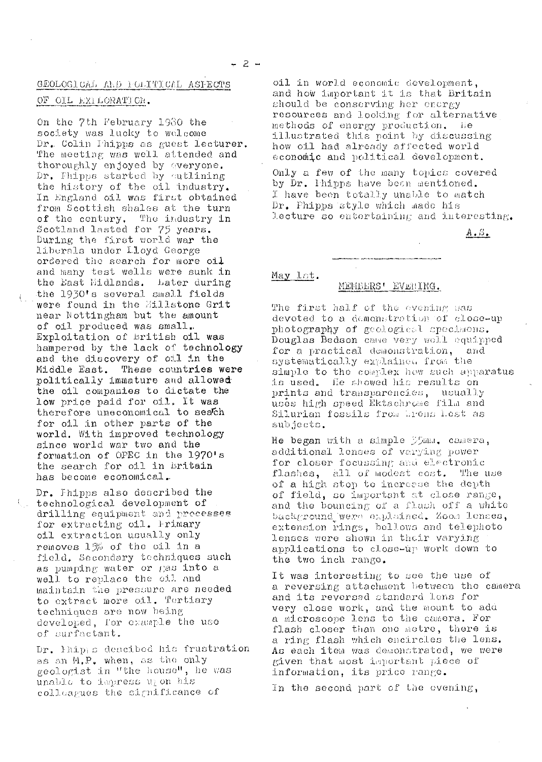## GEOLOGICAL AND POLITICAL ASPECTS

#### OF OIL EXPLORATION.

On the 7th February 1980 the society was lucky to welcome Dr. Colin Phipps as guest lecturer. The meeting was well attended and thoroughly enjoyed by overyone. Dr. Phipps started by outlining the history of the oil industry. In England oil was first obtained from Scottish shales at the turn of the century. The industry in Scotland lasted for 75 years. During the first world war the liberals under Lloyd George ordered the search for more oil and many test wells were sunk in the bast Midlands. Later during the 1930's several small fields were found in the Millstone Grit near Nottingham but the amount of oil produced was small. Exploitation of British oil was hampered by the lack of technology and the discovery of oil in the Middle East. These countries were politically immature and allowed the oil companies to dictate the low price paid for oil. It was therefore uneconomical to seach for oil in other parts of the world. With improved technology since world war two and the formation of OPEC in the 1970's the search for oil in Britain has become economical.

Dr. Fhipps also described the  $\langle$  technological development of drilling equipment and processes for extracting oil. Frimary oil extraction usually only removes  $1\%$  of the oil in a field. Secondary techniques such as pumping water or gas into a well to replace the oil and maintain the pressure are needed to extract more oil. Tertiary techniques are now being developed, for example the use of surfactant.

Dr. Phipps descibed his frustration as an M.P. when, as the only geologist in "the house", he was unable to impress upon his colleagues the significance of

oil in world economic development, and how important it is that Britain should be conserving her energy resources and looking for alternative methods of energy production. He illustrated this point by discussing how oil had already affected world economic and political development.

Only a few of the many topics covered by Dr. Phipps have been mentioned. I have been totally unable to match Dr. Phipps style which made his Lecture so entertaining and interesting.

 $A - S -$ 

May lst.

#### MEMBERS' EVERING.

The first half of the evening was devoted to a demonstration of close-up photography of goologiest specimens. Douglas Bedson came very well equipped for a practical demonstration, and systematically explained from the simple to the complex how such apparatus is used. He showed his results on prints and transparencies, usually uses high speed Ektachrome film and Silurian fossils from Wrens lest as subjects.

He began with a simple  $\frac{1}{2}$ Jmm. camera, additional lenses of varying power for closer focussing and electronic flashes, all of modest cost. The use of a high stop to increase the depth of field, so important at close range, and the bouncing of a flash off a white background were emplained. Zoom lenses, extension rings, bellows and telephoto lenses were shown in their varying applications to close-up work down to the two inch range.

It was interesting to see the use of a reversing attachment between the camera and its reversed standard lens for very close work, and the mount to add a microscope lens to the camera. For flash closer than one metre, there is a ring flash which encircles the lens. As each item was demonstrated, we were given that most important piece of information, its price range.

In the second part of the evening,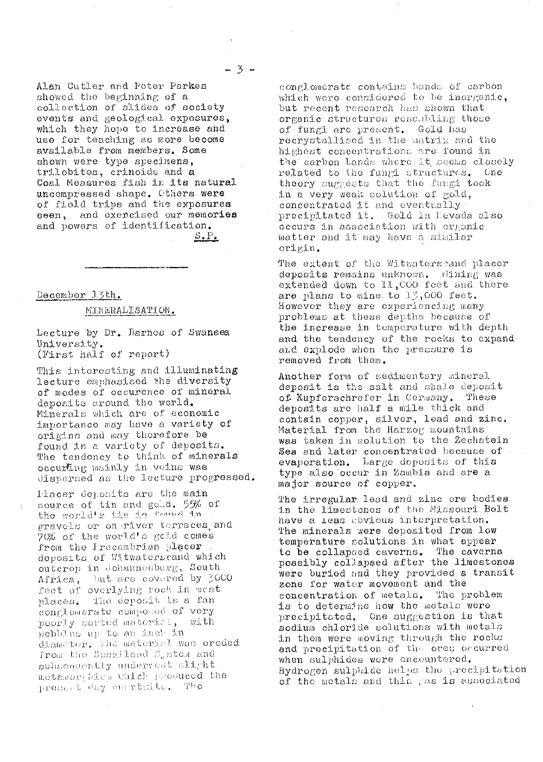Alan Cutler and Poter Parkes showed the beginning of a collection of slides of society events and geological exposures, which they hope to increase and use for teaching as more become available from members. Some shown were type specimens, trilobites, crinoids and a Coal Measures fish in its natural uncompressed shape. Others were of field trips and the exposures seen, and exercised our memories and powers of identification.  $S.P.$ 

# December 13th. MINERALISATION.

Lecture by Dr. Barnes of Swansea University. (First half of report)

This interesting and illuminating lecture emphasised the diversity of modes of occurence of mineral deposits around the world. Minerals which are of economic importance may have a variety of origins and may therefore be found in a variety of deposits. The tendency to think of minerals occurting mainly in veins was dispersed as the lecture progressed.

Placer deposits are the main source of tin and gold. 55% of the world's tin is found in gravels or on river terraces and 70% of the world's gold comes from the Precambrian placer deposits of Witwatersrand which outcrop in Johannesburg, South but are covered by 3000 Africa, feet of overlying rock in mest places. The deposit is a fan conglomerate composed of very poorly sorted material, with pebbles up to an incl in diameter. The material was eroded from the Subzilland Synton and subsequently undervent slight metamoryhism which produced the present day our risite. The

conglomerate contains bands of carbon which were considered to be inorganic. but recent research has shown that organic structures rescabling those of fungi are present. Gold has recrystallised in the matrix and the highest concentrations are found in the carbon bands where it seems closely related to the fungi structures. One theory suggests that the fungi took in a very weak solution of gold, concentrated it and eventually precipitated it. Gold in Nevada also occurs in association with organic matter and it may have a similar origin.

The extent of the Witwatersrand placer deposits remains unknown. Hining was extended down to 11,000 feet and there are plans to mine to 13,000 feet. However they are experiencing many problems at these depths because of the increase in temperature with depth and the tendency of the rocks to expand and explode when the pressure is removed from them.

Another form of sedimentary mineral deposit is the salt and chale deposit of Kupferschrefer in Germany. These deposits are half a mile thick and contain copper, silver, lead and zinc. Material from the Harzog mountains was taken in solution to the Zechstein Sea and later concentrated because of evaporation. Large deposits of this type also occur in Zambia and are a major source of copper.

The irregular lead and zinc ore bodies in the limestones of the Missouri Belt have a leas abvious interpretation. The minerals were deposited from low temperature solutions in what appear to be collapsed caverns. The caverns possibly collapsed after the limestones were buried and they provided a transit zone for water movement and the concentration of metals. The problem is to determine how the metals were precipitated. One suggestion is that sodium chloride solutions with metals in them were moving through the rocks and precipitation of the ores occurred when sulphides were encountered. Hydrogen sulphide helps the precipitation of the metals and this gas is associated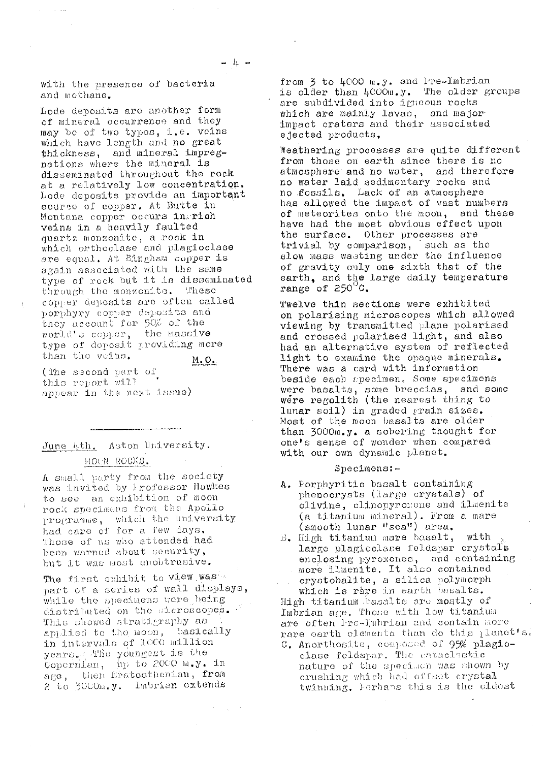with the presence of bacteria and mothane.

Lode deposits are another form of mineral occurrence and they may be of two types, i.e. veins which have length and no great phickness, and mineral impregnations where the mineral is disseminated throughout the rock at a relatively low concentration. Lode deposits provide an important source of copper. At Butte in Montana copper occurs in rich veins in a heavily faulted quartz monzonite, a rock in which orthoclase and plagioclase are equal. At Bingham copper is again associated with the same type of rock but it is disseminated through the monzonite. These copper deposits are often called porphyry copper deposits and they account for 50% of the world's coppor, the massive type of deposit providing more than the voins. M.O.

(The second part of this report will appear in the next issue)

#### Aston University. June 4th. MOCN ROCKS.

A small party from the society was invited by Professor Hawkes to see an exhibition of moon rock specimens from the Apollo programme, which the University had care of for a few days. Those of us who attended had been warned about security, but it was most unobtrusive.

The first exhibit to view was part of a series of wall displays, while the speciaens were being distributed on the microscopes. This showed stratigraphy as applied to the moon, basically in intervals of 1000 million years. The youngest is the Copernian, up to 2000 m.y. in age, then Eratosthenian, from 2 to 3000m.y. Imbrian extends

from 3 to 4000 m.y. and Pre-Imbrian is older than 4000m.y. The older groups are subdivided into igneous rocks which are mainly lavas, and major impact craters and their associated ejected products.

Weathering processes are quite different from those on earth since there is no atmosphere and no water, and therefore no water laid sedimentary rocks and no fossils. Lack of an atmosphere has allowed the impact of vast numbers of meteorites onto the moon, and these have had the most obvious effect upon the surface. Other processes are trivial by comparison, such as the slow mass wasting under the influence of gravity only one sixth that of the earth, and the large daily temperature range of  $250^{\circ}$ C.

Twelve thin sections were exhibited on polarising microscopes which allowed viewing by transmitted plane polarised and crossed polarised light, and also had an alternative system of reflected light to examine the opaque minerals. There was a card with information beside each specimen. Some specimens were basalts, some breccias, and some were regolith (the nearest thing to lunar soil) in graded grain sizes. Most of the moon basalts are older than 3000m.y. a sobering thought for one's sense of wonder when compared with our own dynamic planet.

#### $Specimens. -$

- A. Porphyritic basalt containing phenocrysts (large crystals) of olivine, clinopyroxene and ilmenite (a titanium mineral). From a mare (smooth lunar "sea") area.
- B. High titanium mare basalt, with large plagioclase feldspar crystal's enclosing pyroxenes, and containing more ilmenite. It also contained crystobalite, a silica polymorph which is raye in earth basalts.

High titanium basalts are mostly of Imbrian age. Those with low titanium are often Pre-Imbrian and contain more rare earth elements than do this planet's.

C. Anorthosite, composed of 95% plagioclase feldspar. The entaclestic nature of the specificn was shown by crushing which had offset crystal twinning. Ferhans this is the eldest